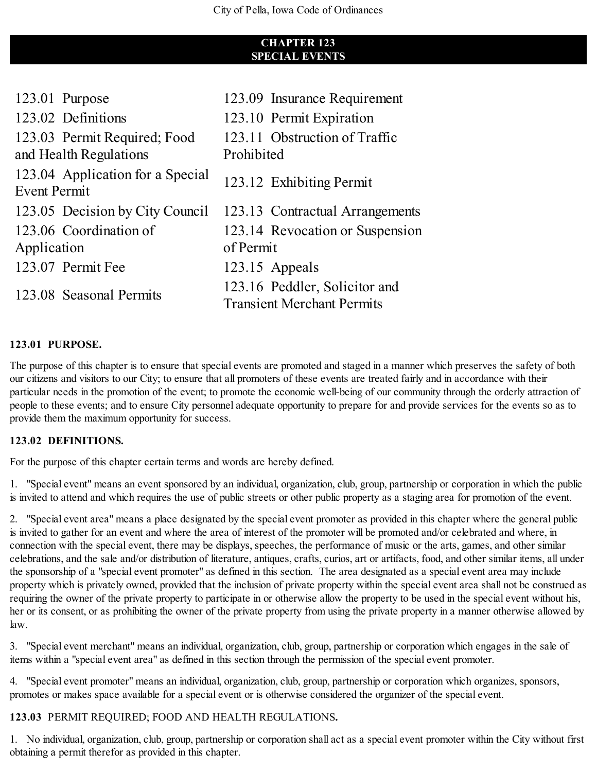# **CHAPTER 123 SPECIAL EVENTS**

| 123.01 Purpose                                          | 123.09 Insurance Requirement                                       |
|---------------------------------------------------------|--------------------------------------------------------------------|
| 123.02 Definitions                                      | 123.10 Permit Expiration                                           |
| 123.03 Permit Required; Food<br>and Health Regulations  | 123.11 Obstruction of Traffic<br>Prohibited                        |
| 123.04 Application for a Special<br><b>Event Permit</b> | 123.12 Exhibiting Permit                                           |
| 123.05 Decision by City Council                         | 123.13 Contractual Arrangements                                    |
| 123.06 Coordination of                                  | 123.14 Revocation or Suspension                                    |
| Application                                             | of Permit                                                          |
| 123.07 Permit Fee                                       | 123.15 Appeals                                                     |
| 123.08 Seasonal Permits                                 | 123.16 Peddler, Solicitor and<br><b>Transient Merchant Permits</b> |

#### **123.01 PURPOSE.**

The purpose of this chapter is to ensure that special events are promoted and staged in a manner which preserves the safety of both our citizens and visitors to our City; to ensure that all promoters of these events are treated fairly and in accordance with their particular needs in the promotion of the event; to promote the economic well-being of our community through the orderly attraction of people to these events; and to ensure City personnel adequate opportunity to prepare for and provide services for the events so as to provide them the maximum opportunity for success.

#### **123.02 DEFINITIONS.**

For the purpose of this chapter certain terms and words are hereby defined.

1. "Special event" means an event sponsored by an individual, organization, club, group, partnership or corporation in which the public is invited to attend and which requires the use of public streets or other public property as a staging area for promotion of the event.

2. "Special event area" means a place designated by the special event promoter as provided in this chapter where the general public is invited to gather for an event and where the area of interest of the promoter will be promoted and/or celebrated and where, in connection with the special event, there may be displays, speeches, the performance of music or the arts, games, and other similar celebrations, and the sale and/or distribution of literature, antiques, crafts, curios, art or artifacts, food, and other similar items, all under the sponsorship of a "special event promoter" as defined in this section. The area designated as a special event area may include property which is privately owned, provided that the inclusion of private property within the special event area shall not be construed as requiring the owner of the private property to participate in or otherwise allow the property to be used in the special event without his, her or its consent, or as prohibiting the owner of the private property from using the private property in a manner otherwise allowed by law.

3. "Special event merchant" means an individual, organization, club, group, partnership or corporation which engages in the sale of items within a "special event area" as defined in this section through the permission of the special event promoter.

4. "Special event promoter" means an individual, organization, club, group, partnership or corporation which organizes, sponsors, promotes or makes space available for a special event or is otherwise considered the organizer of the special event.

#### **123.03** PERMIT REQUIRED; FOOD AND HEALTH REGULATIONS**.**

1. No individual, organization, club, group, partnership or corporation shall act as a special event promoter within the City without first obtaining a permit therefor as provided in this chapter.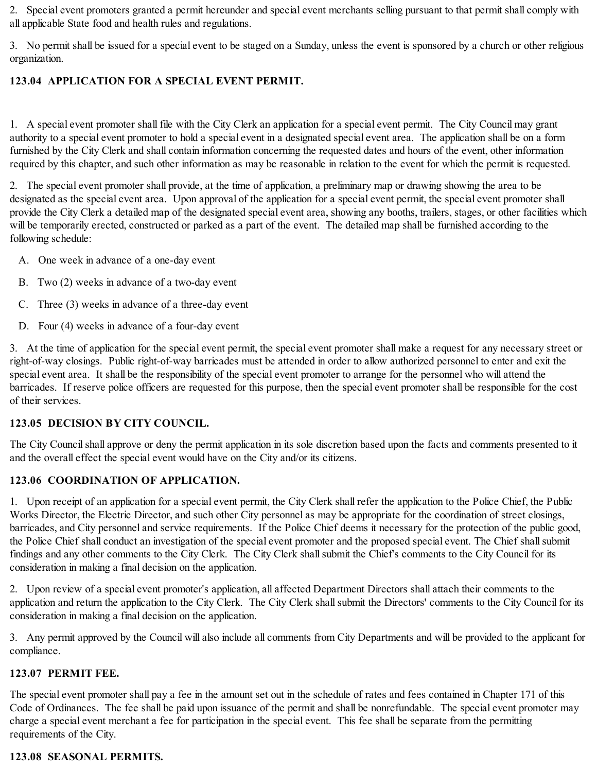2. Special event promoters granted a permit hereunder and special event merchants selling pursuant to that permit shall comply with all applicable State food and health rules and regulations.

3. No permit shall be issued for a special event to be staged on a Sunday, unless the event is sponsored by a church or other religious organization.

# **123.04 APPLICATION FOR A SPECIAL EVENT PERMIT.**

1. A special event promoter shall file with the City Clerk an application for a special event permit. The City Council may grant authority to a special event promoter to hold a special event in a designated special event area. The application shall be on a form furnished by the City Clerk and shall contain information concerning the requested dates and hours of the event, other information required by this chapter, and such other information as may be reasonable in relation to the event for which the permit is requested.

2. The special event promoter shall provide, at the time of application, a preliminary map or drawing showing the area to be designated as the special event area. Upon approval of the application for a special event permit, the special event promoter shall provide the City Clerk a detailed map of the designated special event area, showing any booths, trailers, stages, or other facilities which will be temporarily erected, constructed or parked as a part of the event. The detailed map shall be furnished according to the following schedule:

- A. One week in advance of a one-day event
- B. Two (2) weeks in advance of a two-day event
- C. Three (3) weeks in advance of a three-day event
- D. Four (4) weeks in advance of a four-day event

3. At the time of application for the special event permit, the special event promoter shall make a request for any necessary street or right-of-way closings. Public right-of-way barricades must be attended in order to allow authorized personnel to enter and exit the special event area. It shall be the responsibility of the special event promoter to arrange for the personnel who will attend the barricades. If reserve police officers are requested for this purpose, then the special event promoter shall be responsible for the cost of their services.

# **123.05 DECISION BY CITY COUNCIL.**

The City Council shall approve or deny the permit application in its sole discretion based upon the facts and comments presented to it and the overall effect the special event would have on the City and/or its citizens.

# **123.06 COORDINATION OF APPLICATION.**

1. Upon receipt of an application for a special event permit, the City Clerk shall refer the application to the Police Chief, the Public Works Director, the Electric Director, and such other City personnel as may be appropriate for the coordination of street closings, barricades, and City personnel and service requirements. If the Police Chief deems it necessary for the protection of the public good, the Police Chief shall conduct an investigation of the special event promoter and the proposed special event. The Chief shall submit findings and any other comments to the City Clerk. The City Clerk shall submit the Chief's comments to the City Council for its consideration in making a final decision on the application.

2. Upon review of a special event promoter's application, all affected Department Directors shall attach their comments to the application and return the application to the City Clerk. The City Clerk shall submit the Directors' comments to the City Council for its consideration in making a final decision on the application.

3. Any permit approved by the Council will also include all comments from City Departments and will be provided to the applicant for compliance.

# **123.07 PERMIT FEE.**

The special event promoter shall pay a fee in the amount set out in the schedule of rates and fees contained in Chapter 171 of this Code of Ordinances. The fee shall be paid upon issuance of the permit and shall be nonrefundable. The special event promoter may charge a special event merchant a fee for participation in the special event. This fee shall be separate from the permitting requirements of the City.

# **123.08 SEASONAL PERMITS.**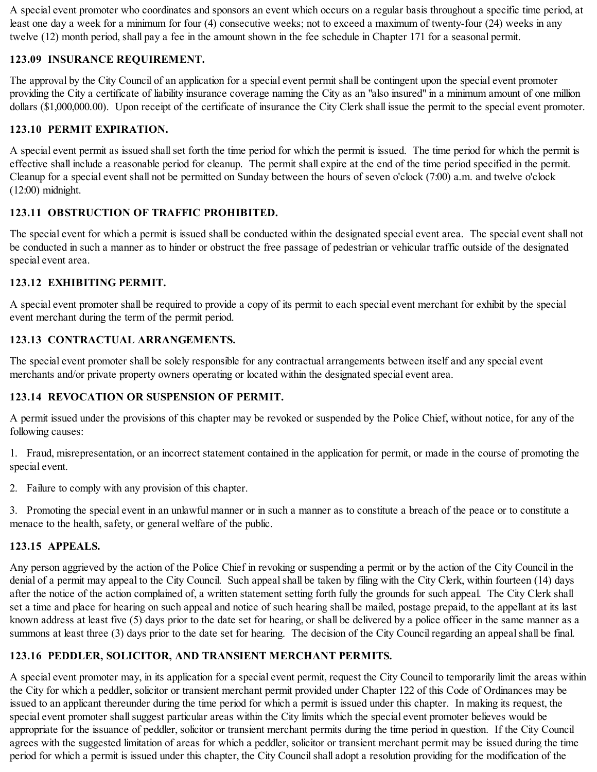A special event promoter who coordinates and sponsors an event which occurs on a regular basis throughout a specific time period, at least one day a week for a minimum for four (4) consecutive weeks; not to exceed a maximum of twenty-four (24) weeks in any twelve (12) month period, shall pay a fee in the amount shown in the fee schedule in Chapter 171 for a seasonal permit.

# **123.09 INSURANCE REQUIREMENT.**

The approval by the City Council of an application for a special event permit shall be contingent upon the special event promoter providing the City a certificate of liability insurance coverage naming the City as an "also insured" in a minimum amount of one million dollars (\$1,000,000.00). Upon receipt of the certificate of insurance the City Clerk shall issue the permit to the special event promoter.

### **123.10 PERMIT EXPIRATION.**

A special event permit as issued shallset forth the time period for which the permit is issued. The time period for which the permit is effective shall include a reasonable period for cleanup. The permit shall expire at the end of the time period specified in the permit. Cleanup for a special event shall not be permitted on Sunday between the hours of seven o'clock (7:00) a.m. and twelve o'clock (12:00) midnight.

#### **123.11 OBSTRUCTION OF TRAFFIC PROHIBITED.**

The special event for which a permit is issued shall be conducted within the designated special event area. The special event shall not be conducted in such a manner as to hinder or obstruct the free passage of pedestrian or vehicular traffic outside of the designated special event area.

#### **123.12 EXHIBITING PERMIT.**

A special event promoter shall be required to provide a copy of its permit to each special event merchant for exhibit by the special event merchant during the term of the permit period.

#### **123.13 CONTRACTUAL ARRANGEMENTS.**

The special event promoter shall be solely responsible for any contractual arrangements between itself and any special event merchants and/or private property owners operating or located within the designated special event area.

# **123.14 REVOCATION OR SUSPENSION OF PERMIT.**

A permit issued under the provisions of this chapter may be revoked or suspended by the Police Chief, without notice, for any of the following causes:

1. Fraud, misrepresentation, or an incorrect statement contained in the application for permit, or made in the course of promoting the special event.

2. Failure to comply with any provision of this chapter.

3. Promoting the special event in an unlawful manner or in such a manner as to constitute a breach of the peace or to constitute a menace to the health, safety, or general welfare of the public.

#### **123.15 APPEALS.**

Any person aggrieved by the action of the Police Chief in revoking or suspending a permit or by the action of the City Council in the denial of a permit may appeal to the City Council. Such appeal shall be taken by filing with the City Clerk, within fourteen (14) days after the notice of the action complained of, a written statement setting forth fully the grounds for such appeal. The City Clerk shall set a time and place for hearing on such appeal and notice of such hearing shall be mailed, postage prepaid, to the appellant at its last known address at least five (5) days prior to the date set for hearing, or shall be delivered by a police officer in the same manner as a summons at least three (3) days prior to the date set for hearing. The decision of the City Council regarding an appeal shall be final.

# **123.16 PEDDLER, SOLICITOR, AND TRANSIENT MERCHANT PERMITS.**

A special event promoter may, in its application for a special event permit, request the City Council to temporarily limit the areas within the City for which a peddler, solicitor or transient merchant permit provided under Chapter 122 of this Code of Ordinances may be issued to an applicant thereunder during the time period for which a permit is issued under this chapter. In making its request, the special event promoter shall suggest particular areas within the City limits which the special event promoter believes would be appropriate for the issuance of peddler, solicitor or transient merchant permits during the time period in question. If the City Council agrees with the suggested limitation of areas for which a peddler, solicitor or transient merchant permit may be issued during the time period for which a permit is issued under this chapter, the City Councilshall adopt a resolution providing for the modification of the